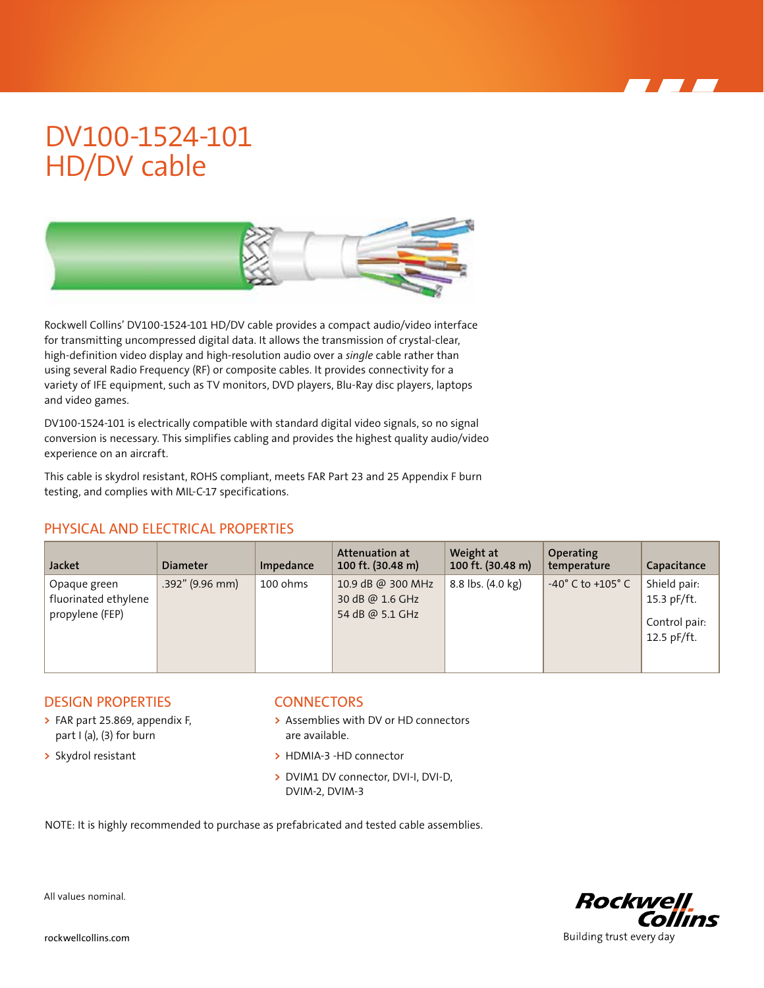# DV100-1524-101 HD/DV cable



Rockwell Collins' DV100-1524-101 HD/DV cable provides a compact audio/video interface for transmitting uncompressed digital data. It allows the transmission of crystal-clear, high-definition video display and high-resolution audio over a *single* cable rather than using several Radio Frequency (RF) or composite cables. It provides connectivity for a variety of IFE equipment, such as TV monitors, DVD players, Blu-Ray disc players, laptops and video games.

DV100-1524-101 is electrically compatible with standard digital video signals, so no signal conversion is necessary. This simplifies cabling and provides the highest quality audio/video experience on an aircraft.

This cable is skydrol resistant, ROHS compliant, meets FAR Part 23 and 25 Appendix F burn testing, and complies with MIL-C-17 specifications.

## PHYSICAL AND ELECTRICAL PROPERTIES

| <b>Jacket</b>                                           | <b>Diameter</b> | Impedance | Attenuation at<br>100 ft. (30.48 m)                     | Weight at<br>100 ft. (30.48 m) | Operating<br>temperature            | Capacitance                                                 |
|---------------------------------------------------------|-----------------|-----------|---------------------------------------------------------|--------------------------------|-------------------------------------|-------------------------------------------------------------|
| Opaque green<br>fluorinated ethylene<br>propylene (FEP) | .392" (9.96 mm) | 100 ohms  | 10.9 dB @ 300 MHz<br>30 dB @ 1.6 GHz<br>54 dB @ 5.1 GHz | 8.8 lbs. (4.0 kg)              | $-40^{\circ}$ C to $+105^{\circ}$ C | Shield pair:<br>15.3 pF/ft.<br>Control pair:<br>12.5 pF/ft. |

### DESIGN PROPERTIES

- **>** FAR part 25.869, appendix F, part I (a), (3) for burn
- **>** Skydrol resistant

#### **CONNECTORS**

- **>** Assemblies with DV or HD connectors are available.
- **>** HDMIA-3 -HD connector
- **>** DVIM1 DV connector, DVI-I, DVI-D, DVIM-2, DVIM-3

NOTE: It is highly recommended to purchase as prefabricated and tested cable assemblies.



All values nominal.

rockwellcollins.com